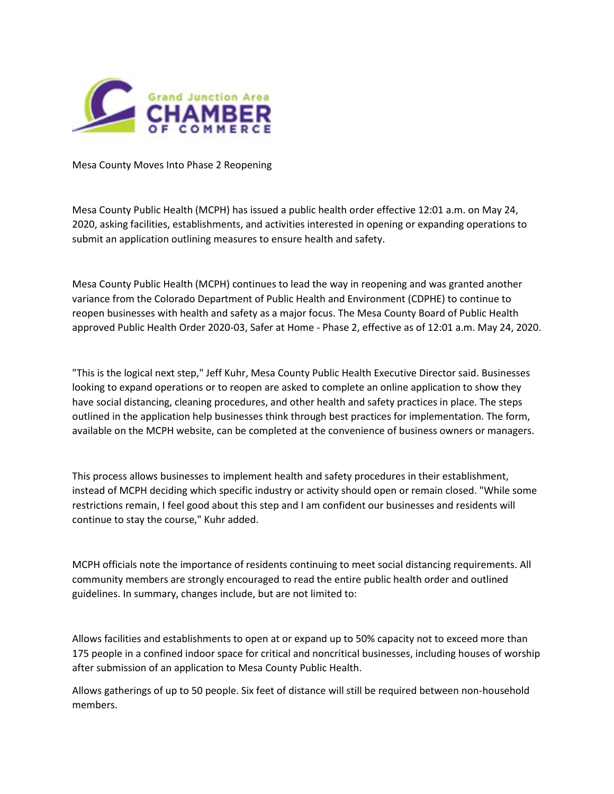

Mesa County Moves Into Phase 2 Reopening

Mesa County Public Health (MCPH) has issued a public health order effective 12:01 a.m. on May 24, 2020, asking facilities, establishments, and activities interested in opening or expanding operations to submit an application outlining measures to ensure health and safety.

Mesa County Public Health (MCPH) continues to lead the way in reopening and was granted another variance from the Colorado Department of Public Health and Environment (CDPHE) to continue to reopen businesses with health and safety as a major focus. The Mesa County Board of Public Health approved Public Health Order 2020-03, Safer at Home - Phase 2, effective as of 12:01 a.m. May 24, 2020.

"This is the logical next step," Jeff Kuhr, Mesa County Public Health Executive Director said. Businesses looking to expand operations or to reopen are asked to complete an online application to show they have social distancing, cleaning procedures, and other health and safety practices in place. The steps outlined in the application help businesses think through best practices for implementation. The form, available on the MCPH website, can be completed at the convenience of business owners or managers.

This process allows businesses to implement health and safety procedures in their establishment, instead of MCPH deciding which specific industry or activity should open or remain closed. "While some restrictions remain, I feel good about this step and I am confident our businesses and residents will continue to stay the course," Kuhr added.

MCPH officials note the importance of residents continuing to meet social distancing requirements. All community members are strongly encouraged to read the entire public health order and outlined guidelines. In summary, changes include, but are not limited to:

Allows facilities and establishments to open at or expand up to 50% capacity not to exceed more than 175 people in a confined indoor space for critical and noncritical businesses, including houses of worship after submission of an application to Mesa County Public Health.

Allows gatherings of up to 50 people. Six feet of distance will still be required between non-household members.